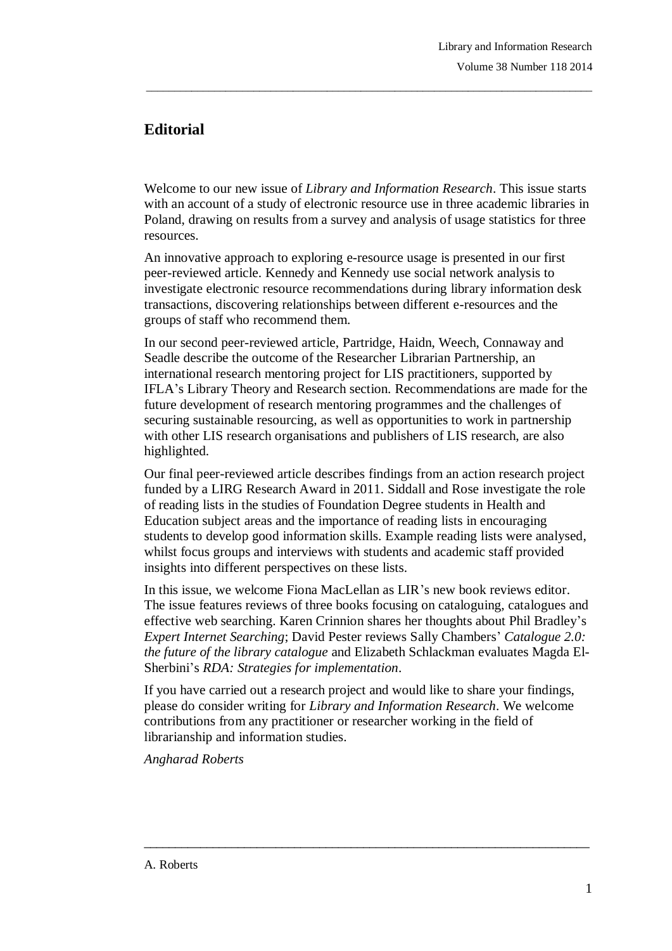## **Editorial**

Welcome to our new issue of *Library and Information Research*. This issue starts with an account of a study of electronic resource use in three academic libraries in Poland, drawing on results from a survey and analysis of usage statistics for three resources.

\_\_\_\_\_\_\_\_\_\_\_\_\_\_\_\_\_\_\_\_\_\_\_\_\_\_\_\_\_\_\_\_\_\_\_\_\_\_\_\_\_\_\_\_\_\_\_\_\_\_\_\_\_\_\_\_\_\_\_\_\_\_\_\_\_\_\_\_\_\_\_\_\_\_\_\_\_\_\_

An innovative approach to exploring e-resource usage is presented in our first peer-reviewed article. Kennedy and Kennedy use social network analysis to investigate electronic resource recommendations during library information desk transactions, discovering relationships between different e-resources and the groups of staff who recommend them.

In our second peer-reviewed article, Partridge, Haidn, Weech, Connaway and Seadle describe the outcome of the Researcher Librarian Partnership, an international research mentoring project for LIS practitioners, supported by IFLA's Library Theory and Research section. Recommendations are made for the future development of research mentoring programmes and the challenges of securing sustainable resourcing, as well as opportunities to work in partnership with other LIS research organisations and publishers of LIS research, are also highlighted.

Our final peer-reviewed article describes findings from an action research project funded by a LIRG Research Award in 2011. Siddall and Rose investigate the role of reading lists in the studies of Foundation Degree students in Health and Education subject areas and the importance of reading lists in encouraging students to develop good information skills. Example reading lists were analysed, whilst focus groups and interviews with students and academic staff provided insights into different perspectives on these lists.

In this issue, we welcome Fiona MacLellan as LIR's new book reviews editor. The issue features reviews of three books focusing on cataloguing, catalogues and effective web searching. Karen Crinnion shares her thoughts about Phil Bradley's *Expert Internet Searching*; David Pester reviews Sally Chambers' *Catalogue 2.0: the future of the library catalogue* and Elizabeth Schlackman evaluates Magda El-Sherbini's *RDA: Strategies for implementation*.

If you have carried out a research project and would like to share your findings, please do consider writing for *Library and Information Research*. We welcome contributions from any practitioner or researcher working in the field of librarianship and information studies.

 $\_$  ,  $\_$  ,  $\_$  ,  $\_$  ,  $\_$  ,  $\_$  ,  $\_$  ,  $\_$  ,  $\_$  ,  $\_$  ,  $\_$  ,  $\_$  ,  $\_$  ,  $\_$  ,  $\_$  ,  $\_$  ,  $\_$  ,  $\_$  ,  $\_$ 

*Angharad Roberts*